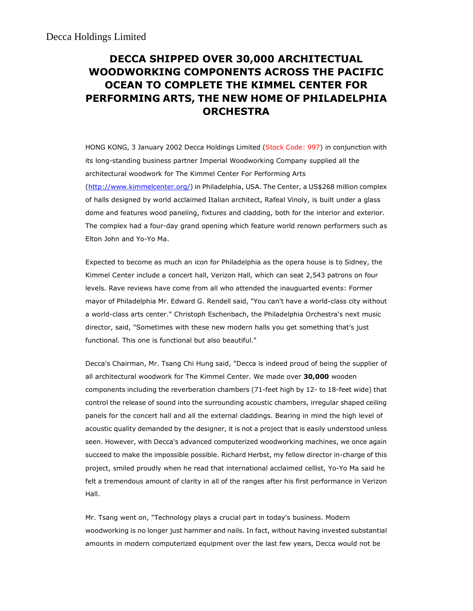## DECCA SHIPPED OVER 30,000 ARCHITECTUAL WOODWORKING COMPONENTS ACROSS THE PACIFIC OCEAN TO COMPLETE THE KIMMEL CENTER FOR PERFORMING ARTS, THE NEW HOME OF PHILADELPHIA **ORCHESTRA**

HONG KONG, 3 January 2002 Decca Holdings Limited (Stock Code: 997) in conjunction with its long-standing business partner Imperial Woodworking Company supplied all the architectural woodwork for The Kimmel Center For Performing Arts (http://www.kimmelcenter.org/) in Philadelphia, USA. The Center, a US\$268 million complex of halls designed by world acclaimed Italian architect, Rafeal Vinoly, is built under a glass dome and features wood paneling, fixtures and cladding, both for the interior and exterior. The complex had a four-day grand opening which feature world renown performers such as Elton John and Yo-Yo Ma.

Expected to become as much an icon for Philadelphia as the opera house is to Sidney, the Kimmel Center include a concert hall, Verizon Hall, which can seat 2,543 patrons on four levels. Rave reviews have come from all who attended the inauguarted events: Former mayor of Philadelphia Mr. Edward G. Rendell said, "You can't have a world-class city without a world-class arts center." Christoph Eschenbach, the Philadelphia Orchestra's next music director, said, "Sometimes with these new modern halls you get something that's just functional. This one is functional but also beautiful."

Decca's Chairman, Mr. Tsang Chi Hung said, "Decca is indeed proud of being the supplier of all architectural woodwork for The Kimmel Center. We made over 30,000 wooden components including the reverberation chambers (71-feet high by 12- to 18-feet wide) that control the release of sound into the surrounding acoustic chambers, irregular shaped ceiling panels for the concert hall and all the external claddings. Bearing in mind the high level of acoustic quality demanded by the designer, it is not a project that is easily understood unless seen. However, with Decca's advanced computerized woodworking machines, we once again succeed to make the impossible possible. Richard Herbst, my fellow director in-charge of this project, smiled proudly when he read that international acclaimed cellist, Yo-Yo Ma said he felt a tremendous amount of clarity in all of the ranges after his first performance in Verizon Hall.

Mr. Tsang went on, "Technology plays a crucial part in today's business. Modern woodworking is no longer just hammer and nails. In fact, without having invested substantial amounts in modern computerized equipment over the last few years, Decca would not be